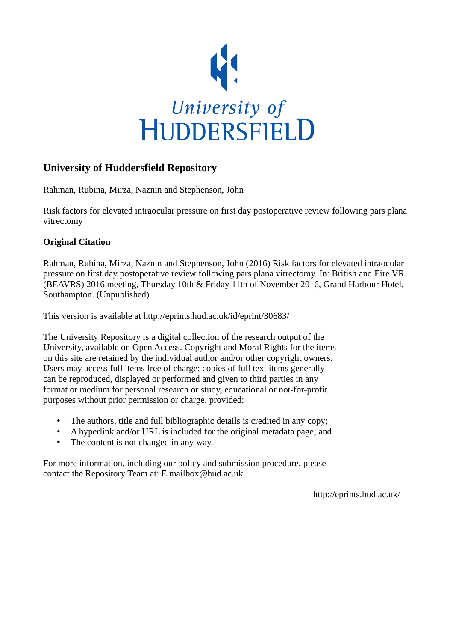

#### **University of Huddersfield Repository**

Rahman, Rubina, Mirza, Naznin and Stephenson, John

Risk factors for elevated intraocular pressure on first day postoperative review following pars plana vitrectomy

#### **Original Citation**

Rahman, Rubina, Mirza, Naznin and Stephenson, John (2016) Risk factors for elevated intraocular pressure on first day postoperative review following pars plana vitrectomy. In: British and Eire VR (BEAVRS) 2016 meeting, Thursday 10th & Friday 11th of November 2016, Grand Harbour Hotel, Southampton. (Unpublished)

This version is available at http://eprints.hud.ac.uk/id/eprint/30683/

The University Repository is a digital collection of the research output of the University, available on Open Access. Copyright and Moral Rights for the items on this site are retained by the individual author and/or other copyright owners. Users may access full items free of charge; copies of full text items generally can be reproduced, displayed or performed and given to third parties in any format or medium for personal research or study, educational or not-for-profit purposes without prior permission or charge, provided:

- The authors, title and full bibliographic details is credited in any copy;
- A hyperlink and/or URL is included for the original metadata page; and
- The content is not changed in any way.

For more information, including our policy and submission procedure, please contact the Repository Team at: E.mailbox@hud.ac.uk.

http://eprints.hud.ac.uk/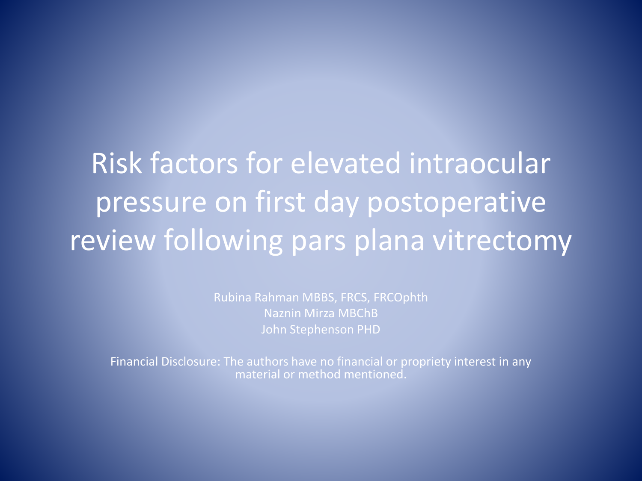Risk factors for elevated intraocular pressure on first day postoperative review following pars plana vitrectomy

> Rubina Rahman MBBS, FRCS, FRCOphth Naznin Mirza MBChB John Stephenson PHD

Financial Disclosure: The authors have no financial or propriety interest in any material or method mentioned.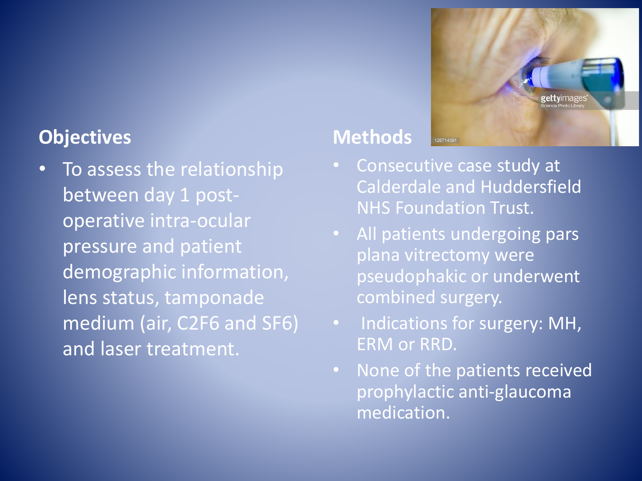#### **Objectives**

To assess the relationship between day 1 postoperative intra-ocular pressure and patient demographic information, lens status, tamponade medium (air, C2F6 and SF6) and laser treatment.

### **Methods**

• Consecutive case study at Calderdale and Huddersfield NHS Foundation Trust.

126714391

gettyimage

- All patients undergoing pars plana vitrectomy were pseudophakic or underwent combined surgery.
- Indications for surgery: MH, ERM or RRD.
- None of the patients received prophylactic anti-glaucoma medication.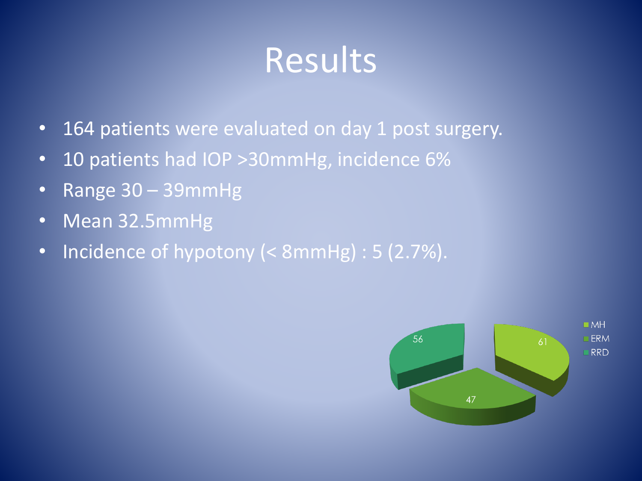## Results

- 164 patients were evaluated on day 1 post surgery.
- 10 patients had IOP > 30mmHg, incidence 6%
- Range 30 39mmHg
- Mean 32.5mmHg
- Incidence of hypotony (< 8mmHg) : 5 (2.7%).

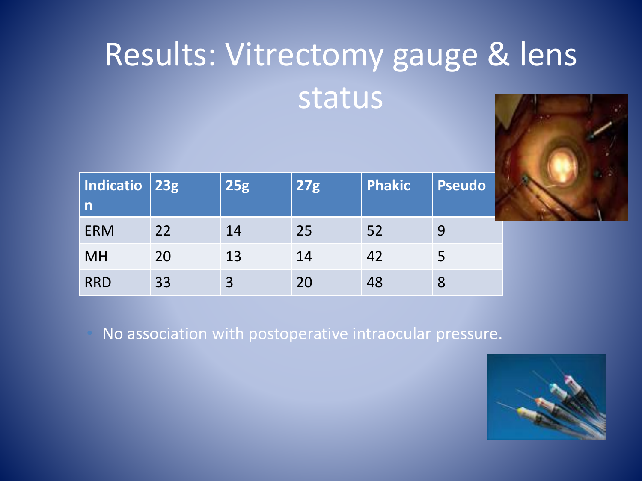# Results: Vitrectomy gauge & lens status



| Indicatio 23g<br>$\mathsf{n}$ |    | <b>25g</b> | <b>27g</b> | <b>Phakic</b> | <b>Pseudo</b> |
|-------------------------------|----|------------|------------|---------------|---------------|
| <b>ERM</b>                    | 22 | 14         | 25         | 52            |               |
| <b>MH</b>                     | 20 | 13         | 14         | 42            |               |
| <b>RRD</b>                    | 33 | 3          | 20         | 48            | 8             |

• No association with postoperative intraocular pressure.

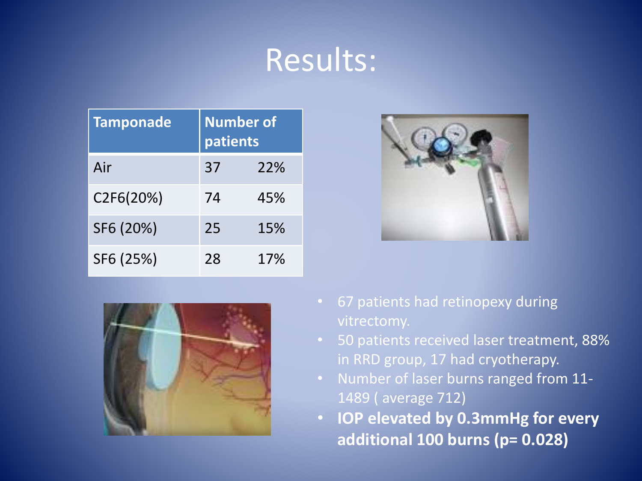### Results:

| <b>Tamponade</b> | <b>Number of</b><br>patients |     |
|------------------|------------------------------|-----|
| Air              | 37                           | 22% |
| C2F6(20%)        | 74                           | 45% |
| SF6 (20%)        | 25                           | 15% |
| SF6 (25%)        | 28                           | 17% |





- 67 patients had retinopexy during vitrectomy.
- 50 patients received laser treatment, 88% in RRD group, 17 had cryotherapy.
- Number of laser burns ranged from 11- 1489 ( average 712)
- **IOP elevated by 0.3mmHg for every additional 100 burns (p= 0.028)**